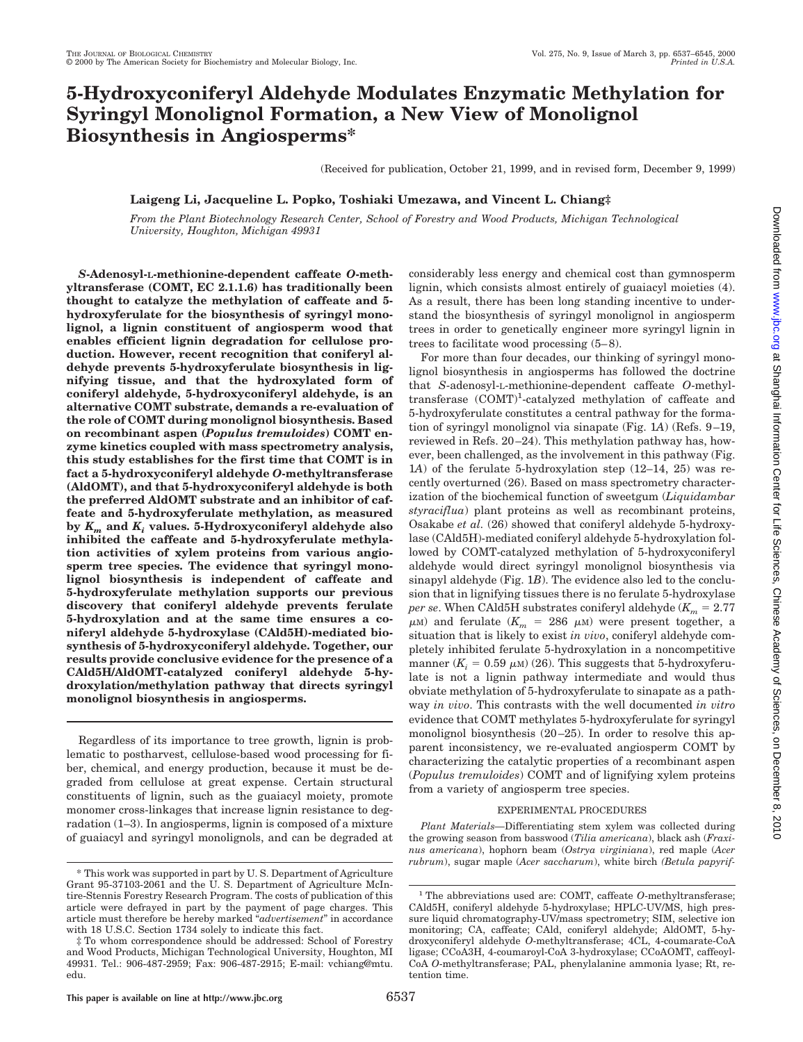# **5-Hydroxyconiferyl Aldehyde Modulates Enzymatic Methylation for Syringyl Monolignol Formation, a New View of Monolignol Biosynthesis in Angiosperms\***

(Received for publication, October 21, 1999, and in revised form, December 9, 1999)

# **Laigeng Li, Jacqueline L. Popko, Toshiaki Umezawa, and Vincent L. Chiang‡**

*From the Plant Biotechnology Research Center, School of Forestry and Wood Products, Michigan Technological University, Houghton, Michigan 49931*

*S***-Adenosyl-L-methionine-dependent caffeate** *O***-methyltransferase (COMT, EC 2.1.1.6) has traditionally been thought to catalyze the methylation of caffeate and 5 hydroxyferulate for the biosynthesis of syringyl monolignol, a lignin constituent of angiosperm wood that enables efficient lignin degradation for cellulose production. However, recent recognition that coniferyl aldehyde prevents 5-hydroxyferulate biosynthesis in lignifying tissue, and that the hydroxylated form of coniferyl aldehyde, 5-hydroxyconiferyl aldehyde, is an alternative COMT substrate, demands a re-evaluation of the role of COMT during monolignol biosynthesis. Based on recombinant aspen (***Populus tremuloides***) COMT enzyme kinetics coupled with mass spectrometry analysis, this study establishes for the first time that COMT is in fact a 5-hydroxyconiferyl aldehyde** *O***-methyltransferase (AldOMT), and that 5-hydroxyconiferyl aldehyde is both the preferred AldOMT substrate and an inhibitor of caffeate and 5-hydroxyferulate methylation, as measured by** *Km* **and** *Ki* **values. 5-Hydroxyconiferyl aldehyde also inhibited the caffeate and 5-hydroxyferulate methylation activities of xylem proteins from various angiosperm tree species. The evidence that syringyl monolignol biosynthesis is independent of caffeate and 5-hydroxyferulate methylation supports our previous discovery that coniferyl aldehyde prevents ferulate 5-hydroxylation and at the same time ensures a coniferyl aldehyde 5-hydroxylase (CAld5H)-mediated biosynthesis of 5-hydroxyconiferyl aldehyde. Together, our results provide conclusive evidence for the presence of a CAld5H/AldOMT-catalyzed coniferyl aldehyde 5-hydroxylation/methylation pathway that directs syringyl monolignol biosynthesis in angiosperms.**

Regardless of its importance to tree growth, lignin is problematic to postharvest, cellulose-based wood processing for fiber, chemical, and energy production, because it must be degraded from cellulose at great expense. Certain structural constituents of lignin, such as the guaiacyl moiety, promote monomer cross-linkages that increase lignin resistance to degradation (1–3). In angiosperms, lignin is composed of a mixture of guaiacyl and syringyl monolignols, and can be degraded at considerably less energy and chemical cost than gymnosperm lignin, which consists almost entirely of guaiacyl moieties (4). As a result, there has been long standing incentive to understand the biosynthesis of syringyl monolignol in angiosperm trees in order to genetically engineer more syringyl lignin in trees to facilitate wood processing (5–8).

For more than four decades, our thinking of syringyl monolignol biosynthesis in angiosperms has followed the doctrine that *S*-adenosyl-L-methionine-dependent caffeate *O*-methyltransferase (COMT)<sup>1</sup>-catalyzed methylation of caffeate and 5-hydroxyferulate constitutes a central pathway for the formation of syringyl monolignol via sinapate (Fig. 1*A*) (Refs. 9–19, reviewed in Refs. 20–24). This methylation pathway has, however, been challenged, as the involvement in this pathway (Fig. 1*A*) of the ferulate 5-hydroxylation step (12–14, 25) was recently overturned (26). Based on mass spectrometry characterization of the biochemical function of sweetgum (*Liquidambar styraciflua*) plant proteins as well as recombinant proteins, Osakabe *et al.* (26) showed that coniferyl aldehyde 5-hydroxylase (CAld5H)-mediated coniferyl aldehyde 5-hydroxylation followed by COMT-catalyzed methylation of 5-hydroxyconiferyl aldehyde would direct syringyl monolignol biosynthesis via sinapyl aldehyde (Fig. 1*B*). The evidence also led to the conclusion that in lignifying tissues there is no ferulate 5-hydroxylase *per se*. When CAld5H substrates coniferyl aldehyde  $(K_m = 2.77)$  $\mu$ M) and ferulate ( $K_m$  = 286  $\mu$ M) were present together, a situation that is likely to exist *in vivo*, coniferyl aldehyde completely inhibited ferulate 5-hydroxylation in a noncompetitive manner  $(K<sub>i</sub> = 0.59 \mu M)$  (26). This suggests that 5-hydroxyferulate is not a lignin pathway intermediate and would thus obviate methylation of 5-hydroxyferulate to sinapate as a pathway *in vivo*. This contrasts with the well documented *in vitro* evidence that COMT methylates 5-hydroxyferulate for syringyl monolignol biosynthesis (20–25). In order to resolve this apparent inconsistency, we re-evaluated angiosperm COMT by characterizing the catalytic properties of a recombinant aspen (*Populus tremuloides*) COMT and of lignifying xylem proteins from a variety of angiosperm tree species.

## EXPERIMENTAL PROCEDURES

*Plant Materials—*Differentiating stem xylem was collected during the growing season from basswood (*Tilia americana*), black ash (*Fraxinus americana*), hophorn beam (*Ostrya virginiana*), red maple (*Acer rubrum*), sugar maple (*Acer saccharum*), white birch *(Betula papyrif-*

<sup>\*</sup> This work was supported in part by U. S. Department of Agriculture Grant 95-37103-2061 and the U. S. Department of Agriculture McIntire-Stennis Forestry Research Program. The costs of publication of this article were defrayed in part by the payment of page charges. This article must therefore be hereby marked "*advertisement*" in accordance with 18 U.S.C. Section 1734 solely to indicate this fact.

<sup>‡</sup> To whom correspondence should be addressed: School of Forestry and Wood Products, Michigan Technological University, Houghton, MI 49931. Tel.: 906-487-2959; Fax: 906-487-2915; E-mail: vchiang@mtu. edu.

<sup>&</sup>lt;sup>1</sup> The abbreviations used are: COMT, caffeate *O*-methyltransferase; CAld5H, coniferyl aldehyde 5-hydroxylase; HPLC-UV/MS, high pressure liquid chromatography-UV/mass spectrometry; SIM, selective ion monitoring; CA, caffeate; CAld, coniferyl aldehyde; AldOMT, 5-hydroxyconiferyl aldehyde *O*-methyltransferase; 4CL, 4-coumarate-CoA ligase; CCoA3H, 4-coumaroyl-CoA 3-hydroxylase; CCoAOMT, caffeoyl-CoA *O*-methyltransferase; PAL, phenylalanine ammonia lyase; Rt, retention time.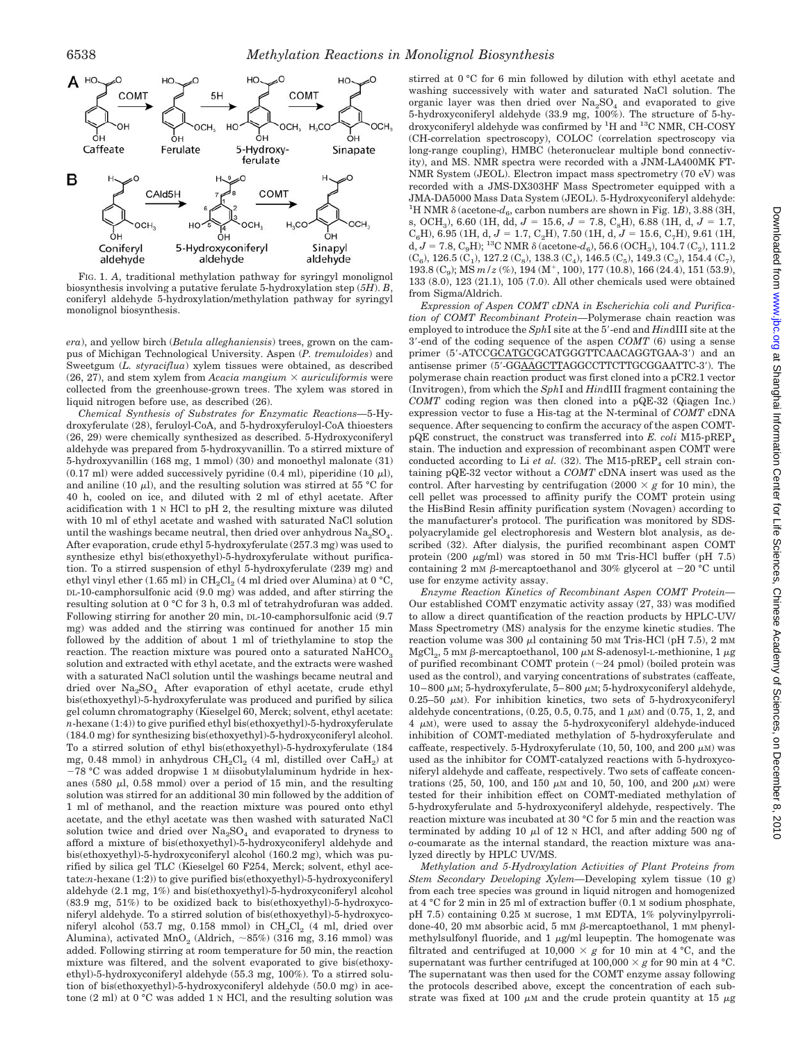

FIG. 1. *A*, traditional methylation pathway for syringyl monolignol biosynthesis involving a putative ferulate 5-hydroxylation step (*5H*). *B*, coniferyl aldehyde 5-hydroxylation/methylation pathway for syringyl monolignol biosynthesis.

*era*), and yellow birch (*Betula alleghaniensis*) trees, grown on the campus of Michigan Technological University. Aspen (*P. tremuloides*) and Sweetgum (*L. styraciflua*) xylem tissues were obtained, as described (26, 27), and stem xylem from *Acacia mangium*  $\times$  *auriculiformis* were collected from the greenhouse-grown trees. The xylem was stored in liquid nitrogen before use, as described (26).

*Chemical Synthesis of Substrates for Enzymatic Reactions—*5-Hydroxyferulate (28), feruloyl-CoA, and 5-hydroxyferuloyl-CoA thioesters (26, 29) were chemically synthesized as described. 5-Hydroxyconiferyl aldehyde was prepared from 5-hydroxyvanillin. To a stirred mixture of 5-hydroxyvanillin (168 mg, 1 mmol) (30) and monoethyl malonate (31)  $(0.17 \text{ ml})$  were added successively pyridine  $(0.4 \text{ ml})$ , piperidine  $(10 \mu\text{l})$ , and aniline (10  $\mu$ ), and the resulting solution was stirred at 55 °C for 40 h, cooled on ice, and diluted with 2 ml of ethyl acetate. After acidification with  $1 \times$  HCl to pH 2, the resulting mixture was diluted with 10 ml of ethyl acetate and washed with saturated NaCl solution until the washings became neutral, then dried over anhydrous  $Na<sub>2</sub>SO<sub>4</sub>$ . After evaporation, crude ethyl 5-hydroxyferulate (257.3 mg) was used to synthesize ethyl bis(ethoxyethyl)-5-hydroxyferulate without purification. To a stirred suspension of ethyl 5-hydroxyferulate (239 mg) and ethyl vinyl ether (1.65 ml) in  $\mathrm{CH}_2\mathrm{Cl}_2$  (4 ml dried over Alumina) at 0 °C, DL-10-camphorsulfonic acid (9.0 mg) was added, and after stirring the resulting solution at 0 °C for 3 h, 0.3 ml of tetrahydrofuran was added. Following stirring for another 20 min, DL-10-camphorsulfonic acid (9.7 mg) was added and the stirring was continued for another 15 min followed by the addition of about 1 ml of triethylamine to stop the reaction. The reaction mixture was poured onto a saturated  $NAHCO<sub>3</sub>$ solution and extracted with ethyl acetate, and the extracts were washed with a saturated NaCl solution until the washings became neutral and dried over Na<sub>2</sub>SO<sub>4</sub>. After evaporation of ethyl acetate, crude ethyl bis(ethoxyethyl)-5-hydroxyferulate was produced and purified by silica gel column chromatography (Kieselgel 60, Merck; solvent, ethyl acetate: *n*-hexane (1:4)) to give purified ethyl bis(ethoxyethyl)-5-hydroxyferulate (184.0 mg) for synthesizing bis(ethoxyethyl)-5-hydroxyconiferyl alcohol. To a stirred solution of ethyl bis(ethoxyethyl)-5-hydroxyferulate (184 mg, 0.48 mmol) in anhydrous  $CH_2Cl_2$  (4 ml, distilled over  $CaH_2$ ) at

 $-78$  °C was added dropwise 1 M diisobutylaluminum hydride in hexanes (580  $\mu$ l, 0.58 mmol) over a period of 15 min, and the resulting solution was stirred for an additional 30 min followed by the addition of 1 ml of methanol, and the reaction mixture was poured onto ethyl acetate, and the ethyl acetate was then washed with saturated NaCl solution twice and dried over  $Na<sub>2</sub>SO<sub>4</sub>$  and evaporated to dryness to afford a mixture of bis(ethoxyethyl)-5-hydroxyconiferyl aldehyde and bis(ethoxyethyl)-5-hydroxyconiferyl alcohol (160.2 mg), which was purified by silica gel TLC (Kieselgel 60 F254, Merck; solvent, ethyl acetate:*n*-hexane (1:2)) to give purified bis(ethoxyethyl)-5-hydroxyconiferyl aldehyde (2.1 mg, 1%) and bis(ethoxyethyl)-5-hydroxyconiferyl alcohol (83.9 mg, 51%) to be oxidized back to bis(ethoxyethyl)-5-hydroxyconiferyl aldehyde. To a stirred solution of bis(ethoxyethyl)-5-hydroxyconiferyl alcohol (53.7 mg, 0.158 mmol) in  $CH_2Cl_2$  (4 ml, dried over Alumina), activated MnO<sub>2</sub> (Aldrich,  $\sim 85\%$ ) (316 mg, 3.16 mmol) was added. Following stirring at room temperature for 50 min, the reaction mixture was filtered, and the solvent evaporated to give bis(ethoxyethyl)-5-hydroxyconiferyl aldehyde (55.3 mg, 100%). To a stirred solution of bis(ethoxyethyl)-5-hydroxyconiferyl aldehyde (50.0 mg) in acetone (2 ml) at 0 °C was added 1 N HCl, and the resulting solution was stirred at 0 °C for 6 min followed by dilution with ethyl acetate and washing successively with water and saturated NaCl solution. The organic layer was then dried over  $Na<sub>2</sub>SO<sub>4</sub>$  and evaporated to give 5-hydroxyconiferyl aldehyde (33.9 mg, 100%). The structure of 5-hydroxyconiferyl aldehyde was confirmed by <sup>1</sup>H and <sup>13</sup>C NMR, CH-COSY (CH-correlation spectroscopy), COLOC (correlation spectroscopy via long-range coupling), HMBC (heteronuclear multiple bond connectivity), and MS. NMR spectra were recorded with a JNM-LA400MK FT-NMR System (JEOL). Electron impact mass spectrometry (70 eV) was recorded with a JMS-DX303HF Mass Spectrometer equipped with a JMA-DA5000 Mass Data System (JEOL). 5-Hydroxyconiferyl aldehyde: <sup>1</sup>H NMR  $\delta$  (acetone- $d_6$ , carbon numbers are shown in Fig. 1*B*), 3.88 (3H, s, OCH<sub>3</sub>), 6.60 (1H, dd,  $J = 15.6$ ,  $J = 7.8$ , C<sub>8</sub>H), 6.88 (1H, d,  $J = 1.7$ ,  $C_6H$ ), 6.95 (1H, d,  $J = 1.7$ ,  $C_2H$ ), 7.50 (1H, d,  $J = 15.6$ ,  $C_7H$ ), 9.61 (1H, d,  $J = 7.8$ , C<sub>9</sub>H); <sup>13</sup>C NMR  $\delta$  (acetone- $d_6$ ), 56.6 (OCH<sub>3</sub>), 104.7 (C<sub>2</sub>), 111.2  $(C_6)$ , 126.5  $(C_1)$ , 127.2  $(C_8)$ , 138.3  $(C_4)$ , 146.5  $(C_5)$ , 149.3  $(C_3)$ , 154.4  $(C_7)$ , 193.8 (C<sub>9</sub>); MS  $m/z$  (%), 194 (M<sup>+</sup>, 100), 177 (10.8), 166 (24.4), 151 (53.9), 133 (8.0), 123 (21.1), 105 (7.0). All other chemicals used were obtained from Sigma/Aldrich.

*Expression of Aspen COMT cDNA in Escherichia coli and Purification of COMT Recombinant Protein—*Polymerase chain reaction was employed to introduce the *SphI* site at the 5'-end and *HindIII* site at the 3'-end of the coding sequence of the aspen *COMT* (6) using a sense primer (5'-ATCCGCATGCGCATGGGTTCAACAGGTGAA-3') and an antisense primer (5'-GGAAGCTTAGGCCTTCTTGCGGAATTC-3'). The polymerase chain reaction product was first cloned into a pCR2.1 vector (Invitrogen), from which the *Sph*I and *Hin*dIII fragment containing the *COMT* coding region was then cloned into a pQE-32 (Qiagen Inc.) expression vector to fuse a His-tag at the N-terminal of *COMT* cDNA sequence. After sequencing to confirm the accuracy of the aspen COMTpQE construct, the construct was transferred into *E. coli* M15-pREP. stain. The induction and expression of recombinant aspen COMT were conducted according to Li *et al.* (32). The M15-pREP<sub>4</sub> cell strain containing pQE-32 vector without a *COMT* cDNA insert was used as the control. After harvesting by centrifugation  $(2000 \times g$  for 10 min), the cell pellet was processed to affinity purify the COMT protein using the HisBind Resin affinity purification system (Novagen) according to the manufacturer's protocol. The purification was monitored by SDSpolyacrylamide gel electrophoresis and Western blot analysis, as described (32). After dialysis, the purified recombinant aspen COMT protein (200  $\mu$ g/ml) was stored in 50 mM Tris-HCl buffer (pH 7.5) containing 2 mM  $\beta$ -mercaptoethanol and 30% glycerol at -20 °C until use for enzyme activity assay.

*Enzyme Reaction Kinetics of Recombinant Aspen COMT Protein—* Our established COMT enzymatic activity assay (27, 33) was modified to allow a direct quantification of the reaction products by HPLC-UV/ Mass Spectrometry (MS) analysis for the enzyme kinetic studies. The reaction volume was 300  $\mu$ l containing 50 mM Tris-HCl (pH 7.5), 2 mM MgCl<sub>2</sub>, 5 mM  $\beta$ -mercaptoethanol, 100  $\mu$ M S-adenosyl-L-methionine, 1  $\mu$ g of purified recombinant COMT protein  $(\sim 24$  pmol) (boiled protein was used as the control), and varying concentrations of substrates (caffeate, 10–800  $\mu$ M; 5-hydroxyferulate, 5–800  $\mu$ M; 5-hydroxyconiferyl aldehyde, 0.25–50  $\mu$ M). For inhibition kinetics, two sets of 5-hydroxyconiferyl aldehyde concentrations,  $(0.25, 0.5, 0.75, \text{ and } 1 \mu M)$  and  $(0.75, 1, 2, \text{ and } 1 \mu M)$  $4 \mu$ M), were used to assay the 5-hydroxyconiferyl aldehyde-induced inhibition of COMT-mediated methylation of 5-hydroxyferulate and caffeate, respectively. 5-Hydroxyferulate (10, 50, 100, and 200  $\mu$ M) was used as the inhibitor for COMT-catalyzed reactions with 5-hydroxyconiferyl aldehyde and caffeate, respectively. Two sets of caffeate concentrations (25, 50, 100, and 150  $\mu$ M and 10, 50, 100, and 200  $\mu$ M) were tested for their inhibition effect on COMT-mediated methylation of 5-hydroxyferulate and 5-hydroxyconiferyl aldehyde, respectively. The reaction mixture was incubated at 30 °C for 5 min and the reaction was terminated by adding 10  $\mu$ l of 12 N HCl, and after adding 500 ng of *o*-coumarate as the internal standard, the reaction mixture was analyzed directly by HPLC UV/MS.

*Methylation and 5-Hydroxylation Activities of Plant Proteins from Stem Secondary Developing Xylem—*Developing xylem tissue (10 g) from each tree species was ground in liquid nitrogen and homogenized at 4 °C for 2 min in 25 ml of extraction buffer (0.1 M sodium phosphate, pH 7.5) containing 0.25 M sucrose, 1 mM EDTA, 1% polyvinylpyrrolidone-40, 20 mM absorbic acid, 5 mM  $\beta$ -mercaptoethanol, 1 mM phenylmethylsulfonyl fluoride, and  $1 \mu g/ml$  leupeptin. The homogenate was filtrated and centrifuged at  $10,000 \times g$  for 10 min at 4 °C, and the supernatant was further centrifuged at  $100,000 \times g$  for 90 min at 4 °C. The supernatant was then used for the COMT enzyme assay following the protocols described above, except the concentration of each substrate was fixed at 100  $\mu$ M and the crude protein quantity at 15  $\mu$ g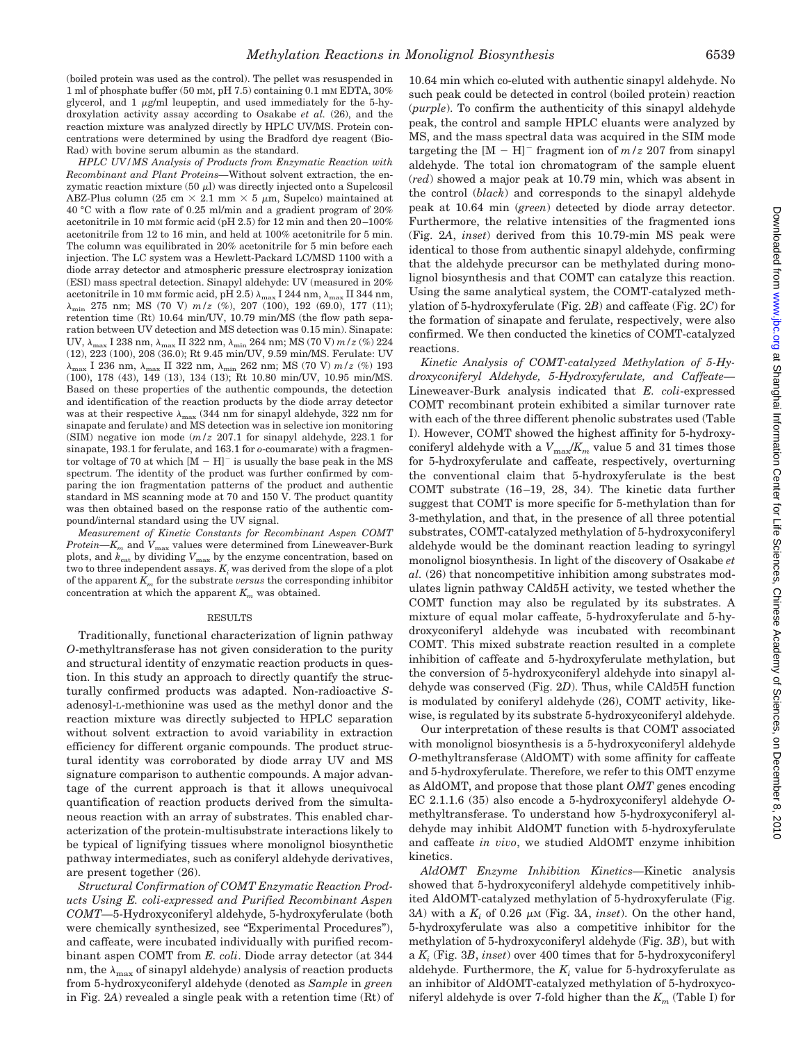(boiled protein was used as the control). The pellet was resuspended in 1 ml of phosphate buffer (50 mM, pH 7.5) containing 0.1 mM EDTA, 30% glycerol, and  $1 \mu g/ml$  leupeptin, and used immediately for the 5-hydroxylation activity assay according to Osakabe *et al.* (26), and the reaction mixture was analyzed directly by HPLC UV/MS. Protein concentrations were determined by using the Bradford dye reagent (Bio-Rad) with bovine serum albumin as the standard.

*HPLC UV/MS Analysis of Products from Enzymatic Reaction with Recombinant and Plant Proteins—*Without solvent extraction, the enzymatic reaction mixture  $(50 \mu l)$  was directly injected onto a Supelcosil ABZ-Plus column (25 cm  $\times$  2.1 mm  $\times$  5  $\mu$ m, Supelco) maintained at 40 °C with a flow rate of 0.25 ml/min and a gradient program of 20% acetonitrile in 10 mM formic acid (pH 2.5) for 12 min and then 20–100% acetonitrile from 12 to 16 min, and held at 100% acetonitrile for 5 min. The column was equilibrated in 20% acetonitrile for 5 min before each injection. The LC system was a Hewlett-Packard LC/MSD 1100 with a diode array detector and atmospheric pressure electrospray ionization (ESI) mass spectral detection. Sinapyl aldehyde: UV (measured in 20% acetonitrile in 10 mM formic acid, pH 2.5)  $\lambda_{\rm max}$  I 244 nm,  $\lambda_{\rm max}$  II 344 nm,  $\lambda_{\min}$  275 nm; MS (70 V)  $m/z$  (%), 207 (100), 192 (69.0), 177 (11); retention time (Rt) 10.64 min/UV, 10.79 min/MS (the flow path separation between UV detection and MS detection was 0.15 min). Sinapate: UV,  $\lambda_{\text{max}}$  I 238 nm,  $\lambda_{\text{max}}$  II 322 nm,  $\lambda_{\text{min}}$  264 nm; MS (70 V)  $m/z$  (%) 224 (12), 223 (100), 208 (36.0); Rt 9.45 min/UV, 9.59 min/MS. Ferulate: UV  $\lambda_{\text{max}}$ I 236 nm, $\lambda_{\text{max}}$ II 322 nm, $\lambda_{\text{min}}$  262 nm; MS (70 V)  $m/z$  (%) 193 (100), 178 (43), 149 (13), 134 (13); Rt 10.80 min/UV, 10.95 min/MS. Based on these properties of the authentic compounds, the detection and identification of the reaction products by the diode array detector was at their respective  $\lambda_{\text{max}}$  (344 nm for sinapyl aldehyde, 322 nm for sinapate and ferulate) and MS detection was in selective ion monitoring (SIM) negative ion mode (*m/z* 207.1 for sinapyl aldehyde, 223.1 for sinapate, 193.1 for ferulate, and 163.1 for *o*-coumarate) with a fragmentor voltage of 70 at which  $[M - H]$ <sup>-</sup> is usually the base peak in the MS spectrum. The identity of the product was further confirmed by comparing the ion fragmentation patterns of the product and authentic standard in MS scanning mode at 70 and 150 V. The product quantity was then obtained based on the response ratio of the authentic compound/internal standard using the UV signal.

*Measurement of Kinetic Constants for Recombinant Aspen COMT Protein—K<sub>m</sub>* and  $V_{\text{max}}$  values were determined from Lineweaver-Burk plots, and  $k_{\text{cat}}$  by dividing  $V_{\text{max}}$  by the enzyme concentration, based on two to three independent assays.  $K_i$  was derived from the slope of a plot of the apparent  $K_m$  for the substrate *versus* the corresponding inhibitor concentration at which the apparent  $K_m$  was obtained.

### RESULTS

Traditionally, functional characterization of lignin pathway *O*-methyltransferase has not given consideration to the purity and structural identity of enzymatic reaction products in question. In this study an approach to directly quantify the structurally confirmed products was adapted. Non-radioactive *S*adenosyl-L-methionine was used as the methyl donor and the reaction mixture was directly subjected to HPLC separation without solvent extraction to avoid variability in extraction efficiency for different organic compounds. The product structural identity was corroborated by diode array UV and MS signature comparison to authentic compounds. A major advantage of the current approach is that it allows unequivocal quantification of reaction products derived from the simultaneous reaction with an array of substrates. This enabled characterization of the protein-multisubstrate interactions likely to be typical of lignifying tissues where monolignol biosynthetic pathway intermediates, such as coniferyl aldehyde derivatives, are present together (26).

*Structural Confirmation of COMT Enzymatic Reaction Products Using E. coli-expressed and Purified Recombinant Aspen COMT—*5-Hydroxyconiferyl aldehyde, 5-hydroxyferulate (both were chemically synthesized, see "Experimental Procedures"), and caffeate, were incubated individually with purified recombinant aspen COMT from *E. coli*. Diode array detector (at 344 nm, the  $\lambda_{\text{max}}$  of sinapyl aldehyde) analysis of reaction products from 5-hydroxyconiferyl aldehyde (denoted as *Sample* in *green* in Fig. 2*A*) revealed a single peak with a retention time (Rt) of

10.64 min which co-eluted with authentic sinapyl aldehyde. No such peak could be detected in control (boiled protein) reaction (*purple*). To confirm the authenticity of this sinapyl aldehyde peak, the control and sample HPLC eluants were analyzed by MS, and the mass spectral data was acquired in the SIM mode targeting the  $[M - H]$ <sup>-</sup> fragment ion of  $m/z$  207 from sinapyl aldehyde. The total ion chromatogram of the sample eluent (*red*) showed a major peak at 10.79 min, which was absent in the control (*black*) and corresponds to the sinapyl aldehyde peak at 10.64 min (*green*) detected by diode array detector. Furthermore, the relative intensities of the fragmented ions (Fig. 2*A*, *inset*) derived from this 10.79-min MS peak were identical to those from authentic sinapyl aldehyde, confirming that the aldehyde precursor can be methylated during monolignol biosynthesis and that COMT can catalyze this reaction. Using the same analytical system, the COMT-catalyzed methylation of 5-hydroxyferulate (Fig. 2*B*) and caffeate (Fig. 2*C*) for the formation of sinapate and ferulate, respectively, were also confirmed. We then conducted the kinetics of COMT-catalyzed reactions.

*Kinetic Analysis of COMT-catalyzed Methylation of 5-Hydroxyconiferyl Aldehyde, 5-Hydroxyferulate, and Caffeate—* Lineweaver-Burk analysis indicated that *E. coli*-expressed COMT recombinant protein exhibited a similar turnover rate with each of the three different phenolic substrates used (Table I). However, COMT showed the highest affinity for 5-hydroxyconiferyl aldehyde with a  $V_{\text{max}}/K_m$  value 5 and 31 times those for 5-hydroxyferulate and caffeate, respectively, overturning the conventional claim that 5-hydroxyferulate is the best COMT substrate (16–19, 28, 34). The kinetic data further suggest that COMT is more specific for 5-methylation than for 3-methylation, and that, in the presence of all three potential substrates, COMT-catalyzed methylation of 5-hydroxyconiferyl aldehyde would be the dominant reaction leading to syringyl monolignol biosynthesis. In light of the discovery of Osakabe *et al.* (26) that noncompetitive inhibition among substrates modulates lignin pathway CAld5H activity, we tested whether the COMT function may also be regulated by its substrates. A mixture of equal molar caffeate, 5-hydroxyferulate and 5-hydroxyconiferyl aldehyde was incubated with recombinant COMT. This mixed substrate reaction resulted in a complete inhibition of caffeate and 5-hydroxyferulate methylation, but the conversion of 5-hydroxyconiferyl aldehyde into sinapyl aldehyde was conserved (Fig. 2*D*). Thus, while CAld5H function is modulated by coniferyl aldehyde (26), COMT activity, likewise, is regulated by its substrate 5-hydroxyconiferyl aldehyde.

Our interpretation of these results is that COMT associated with monolignol biosynthesis is a 5-hydroxyconiferyl aldehyde *O*-methyltransferase (AldOMT) with some affinity for caffeate and 5-hydroxyferulate. Therefore, we refer to this OMT enzyme as AldOMT, and propose that those plant *OMT* genes encoding EC 2.1.1.6 (35) also encode a 5-hydroxyconiferyl aldehyde *O*methyltransferase. To understand how 5-hydroxyconiferyl aldehyde may inhibit AldOMT function with 5-hydroxyferulate and caffeate *in vivo*, we studied AldOMT enzyme inhibition kinetics.

*AldOMT Enzyme Inhibition Kinetics—*Kinetic analysis showed that 5-hydroxyconiferyl aldehyde competitively inhibited AldOMT-catalyzed methylation of 5-hydroxyferulate (Fig.  $3A)$  with a  $K_i$  of 0.26  $\mu$ M (Fig. 3A, *inset*). On the other hand, 5-hydroxyferulate was also a competitive inhibitor for the methylation of 5-hydroxyconiferyl aldehyde (Fig. 3*B*), but with a *Ki* (Fig. 3*B*, *inset*) over 400 times that for 5-hydroxyconiferyl aldehyde. Furthermore, the *Ki* value for 5-hydroxyferulate as an inhibitor of AldOMT-catalyzed methylation of 5-hydroxyconiferyl aldehyde is over 7-fold higher than the  $K<sub>m</sub>$  (Table I) for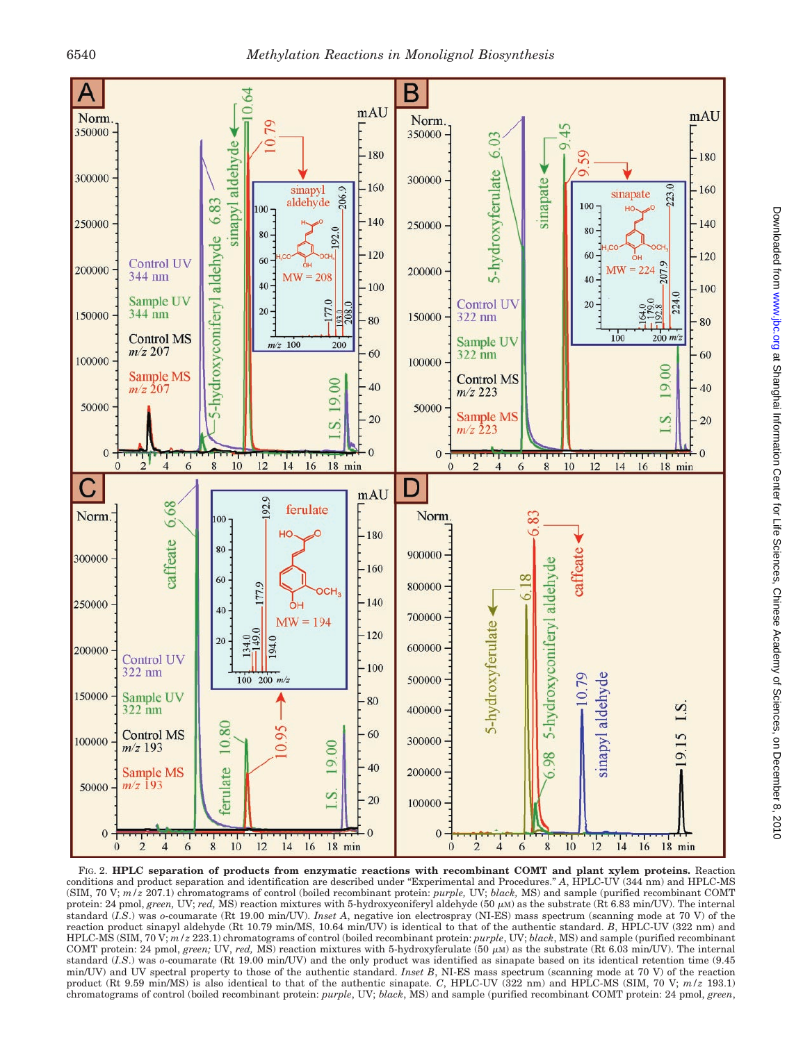

FIG. 2. **HPLC separation of products from enzymatic reactions with recombinant COMT and plant xylem proteins.** Reaction conditions and product separation and identification are described under "Experimental and Procedures." *A*, HPLC-UV (344 nm) and HPLC-MS (SIM, 70 V; *m/z* 207.1) chromatograms of control (boiled recombinant protein: *purple,* UV; *black,* MS) and sample (purified recombinant COMT protein: 24 pmol, *green*, UV; *red*, MS) reaction mixtures with 5-hydroxyconiferyl aldehyde  $(50 \mu)$  as the substrate (Rt 6.83 min/UV). The internal standard (*I.S*.) was *o*-coumarate (Rt 19.00 min/UV). *Inset A*, negative ion electrospray (NI-ES) mass spectrum (scanning mode at 70 V) of the reaction product sinapyl aldehyde (Rt 10.79 min/MS, 10.64 min/UV) is identical to that of the authentic standard. *B*, HPLC-UV (322 nm) and HPLC-MS (SIM, 70 V; *m/z* 223.1) chromatograms of control (boiled recombinant protein: *purple*, UV; *black*, MS) and sample (purified recombinant COMT protein: 24 pmol, *green*; UV, *red*, MS) reaction mixtures with 5-hydroxyferulate (50  $\mu$ M) as the substrate (Rt 6.03 min/UV). The internal standard (*I.S*.) was *o*-coumarate (Rt 19.00 min/UV) and the only product was identified as sinapate based on its identical retention time (9.45 min/UV) and UV spectral property to those of the authentic standard. *Inset B*, NI-ES mass spectrum (scanning mode at 70 V) of the reaction product (Rt 9.59 min/MS) is also identical to that of the authentic sinapate. *C*, HPLC-UV (322 nm) and HPLC-MS (SIM, 70 V; *m/z* 193.1) chromatograms of control (boiled recombinant protein: *purple*, UV; *black*, MS) and sample (purified recombinant COMT protein: 24 pmol, *green*,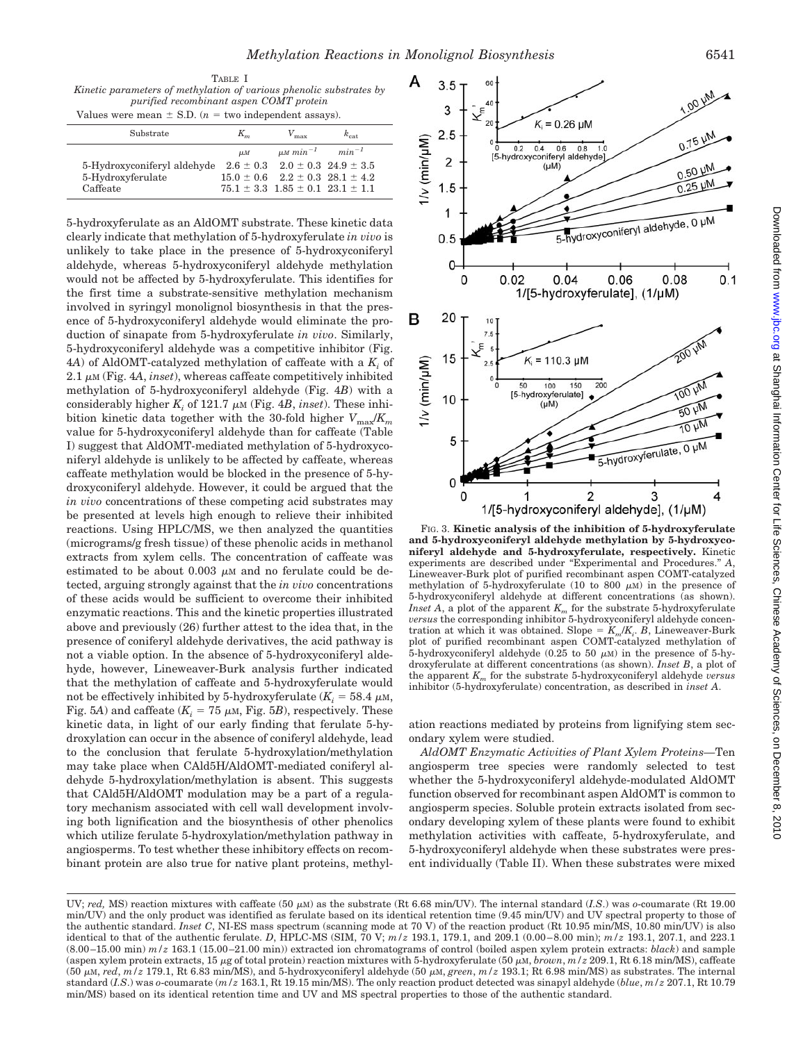TABLE I

*Kinetic parameters of methylation of various phenolic substrates by purified recombinant aspen COMT protein* Values were mean  $\pm$  S.D. ( $n =$  two independent assays).

| Substrate                   | $K_m$   | $V_{\rm max}$                                | $k_{\text{cat}}$ |  |
|-----------------------------|---------|----------------------------------------------|------------------|--|
|                             | $\mu$ M | $\mu M \, min^{-1} \qquad min^{-1}$          |                  |  |
| 5-Hydroxyconiferyl aldehyde |         | $2.6 \pm 0.3$ $2.0 \pm 0.3$ $24.9 \pm 3.5$   |                  |  |
| 5-Hydroxyferulate           |         | $15.0 \pm 0.6$ $2.2 \pm 0.3$ $28.1 \pm 4.2$  |                  |  |
| Caffeate                    |         | $75.1 \pm 3.3$ $1.85 \pm 0.1$ $23.1 \pm 1.1$ |                  |  |
|                             |         |                                              |                  |  |

5-hydroxyferulate as an AldOMT substrate. These kinetic data clearly indicate that methylation of 5-hydroxyferulate *in vivo* is unlikely to take place in the presence of 5-hydroxyconiferyl aldehyde, whereas 5-hydroxyconiferyl aldehyde methylation would not be affected by 5-hydroxyferulate. This identifies for the first time a substrate-sensitive methylation mechanism involved in syringyl monolignol biosynthesis in that the presence of 5-hydroxyconiferyl aldehyde would eliminate the production of sinapate from 5-hydroxyferulate *in vivo*. Similarly, 5-hydroxyconiferyl aldehyde was a competitive inhibitor (Fig. 4*A*) of AldOMT-catalyzed methylation of caffeate with a *Ki* of  $2.1 \mu M$  (Fig.  $4A$ , *inset*), whereas caffeate competitively inhibited methylation of 5-hydroxyconiferyl aldehyde (Fig. 4*B*) with a considerably higher  $K_i$  of 121.7  $\mu$ M (Fig. 4*B*, *inset*). These inhibition kinetic data together with the 30-fold higher  $V_{\text{max}}/K_m$ value for 5-hydroxyconiferyl aldehyde than for caffeate (Table I) suggest that AldOMT-mediated methylation of 5-hydroxyconiferyl aldehyde is unlikely to be affected by caffeate, whereas caffeate methylation would be blocked in the presence of 5-hydroxyconiferyl aldehyde. However, it could be argued that the *in vivo* concentrations of these competing acid substrates may be presented at levels high enough to relieve their inhibited reactions. Using HPLC/MS, we then analyzed the quantities (micrograms/g fresh tissue) of these phenolic acids in methanol extracts from xylem cells. The concentration of caffeate was estimated to be about  $0.003 \mu M$  and no ferulate could be detected, arguing strongly against that the *in vivo* concentrations of these acids would be sufficient to overcome their inhibited enzymatic reactions. This and the kinetic properties illustrated above and previously (26) further attest to the idea that, in the presence of coniferyl aldehyde derivatives, the acid pathway is not a viable option. In the absence of 5-hydroxyconiferyl aldehyde, however, Lineweaver-Burk analysis further indicated that the methylation of caffeate and 5-hydroxyferulate would not be effectively inhibited by 5-hydroxyferulate  $(K<sub>i</sub> = 58.4 \mu M$ , Fig. 5*A*) and caffeate  $(K<sub>i</sub> = 75 \mu M, Fig. 5B)$ , respectively. These kinetic data, in light of our early finding that ferulate 5-hydroxylation can occur in the absence of coniferyl aldehyde, lead to the conclusion that ferulate 5-hydroxylation/methylation may take place when CAld5H/AldOMT-mediated coniferyl aldehyde 5-hydroxylation/methylation is absent. This suggests that CAld5H/AldOMT modulation may be a part of a regulatory mechanism associated with cell wall development involving both lignification and the biosynthesis of other phenolics which utilize ferulate 5-hydroxylation/methylation pathway in angiosperms. To test whether these inhibitory effects on recombinant protein are also true for native plant proteins, methyl-



FIG. 3. **Kinetic analysis of the inhibition of 5-hydroxyferulate and 5-hydroxyconiferyl aldehyde methylation by 5-hydroxyconiferyl aldehyde and 5-hydroxyferulate, respectively.** Kinetic experiments are described under "Experimental and Procedures." *A*, Lineweaver-Burk plot of purified recombinant aspen COMT-catalyzed methylation of 5-hydroxyferulate (10 to 800  $\mu$ M) in the presence of 5-hydroxyconiferyl aldehyde at different concentrations (as shown). *Inset A*, a plot of the apparent  $K_m$  for the substrate 5-hydroxyferulate *versus* the corresponding inhibitor 5-hydroxyconiferyl aldehyde concentration at which it was obtained. Slope =  $K_m/K_i$ . *B*, Lineweaver-Burk plot of purified recombinant aspen COMT-catalyzed methylation of 5-hydroxyconiferyl aldehyde (0.25 to 50  $\mu$ M) in the presence of 5-hydroxyferulate at different concentrations (as shown). *Inset B*, a plot of the apparent *Km* for the substrate 5-hydroxyconiferyl aldehyde *versus* inhibitor (5-hydroxyferulate) concentration, as described in *inset A*.

ation reactions mediated by proteins from lignifying stem secondary xylem were studied.

*AldOMT Enzymatic Activities of Plant Xylem Proteins—*Ten angiosperm tree species were randomly selected to test whether the 5-hydroxyconiferyl aldehyde-modulated AldOMT function observed for recombinant aspen AldOMT is common to angiosperm species. Soluble protein extracts isolated from secondary developing xylem of these plants were found to exhibit methylation activities with caffeate, 5-hydroxyferulate, and 5-hydroxyconiferyl aldehyde when these substrates were present individually (Table II). When these substrates were mixed

UV; *red*, MS) reaction mixtures with caffeate  $(50 \mu M)$  as the substrate (Rt 6.68 min/UV). The internal standard  $(I.S.)$  was *o*-coumarate (Rt 19.00 min/UV) and the only product was identified as ferulate based on its identical retention time (9.45 min/UV) and UV spectral property to those of the authentic standard. *Inset C*, NI-ES mass spectrum (scanning mode at 70 V) of the reaction product (Rt 10.95 min/MS, 10.80 min/UV) is also identical to that of the authentic ferulate. *D*, HPLC-MS (SIM, 70 V; *m/z* 193.1, 179.1, and 209.1 (0.00–8.00 min); *m/z* 193.1, 207.1, and 223.1 (8.00–15.00 min) *m/z* 163.1 (15.00–21.00 min)) extracted ion chromatograms of control (boiled aspen xylem protein extracts: *black*) and sample (aspen xylem protein extracts, 15 <sup>m</sup>g of total protein) reaction mixtures with 5-hydroxyferulate (50 <sup>m</sup>M, *brown*, *m/z* 209.1, Rt 6.18 min/MS), caffeate (50  $\mu$ M, *red*,  $m/z$  179.1, Rt 6.83 min/MS), and 5-hydroxyconiferyl aldehyde (50  $\mu$ M, *green*,  $m/z$  193.1; Rt 6.98 min/MS) as substrates. The internal standard (*I.S*.) was *o*-coumarate (*m/z* 163.1, Rt 19.15 min/MS). The only reaction product detected was sinapyl aldehyde (*blue*, *m/z* 207.1, Rt 10.79 min/MS) based on its identical retention time and UV and MS spectral properties to those of the authentic standard.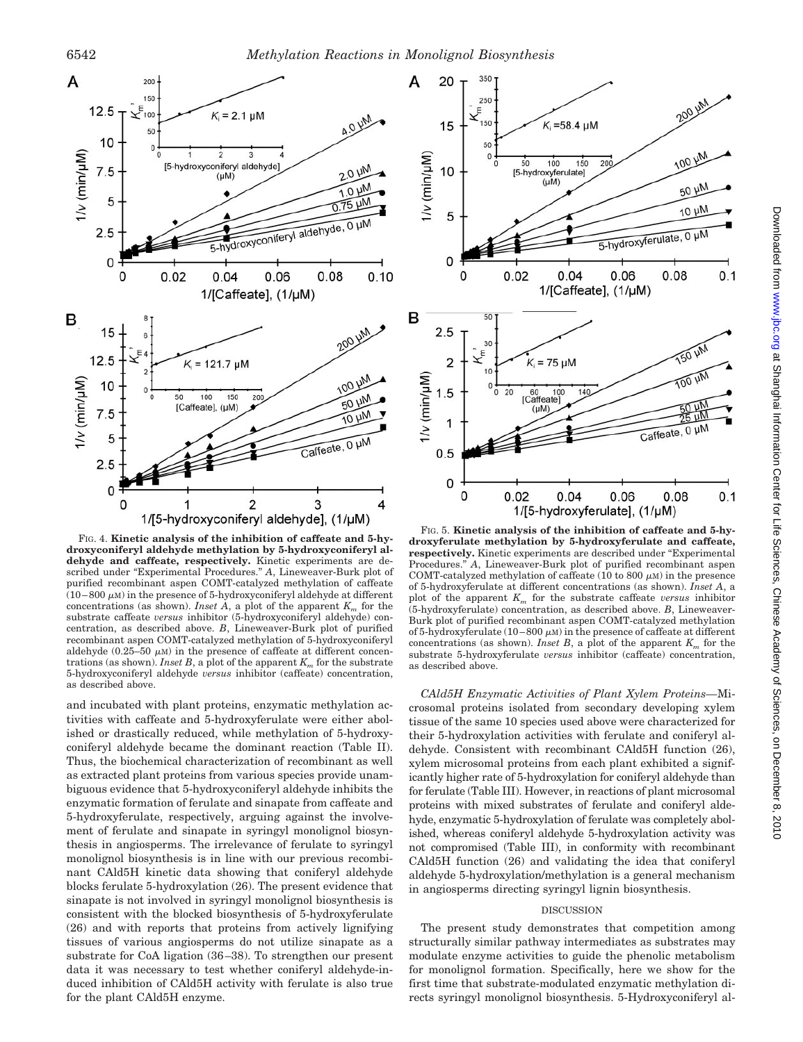

FIG. 4. **Kinetic analysis of the inhibition of caffeate and 5-hydroxyconiferyl aldehyde methylation by 5-hydroxyconiferyl aldehyde and caffeate, respectively.** Kinetic experiments are described under "Experimental Procedures." *A*, Lineweaver-Burk plot of purified recombinant aspen COMT-catalyzed methylation of caffeate  $(10-800 \mu)$  in the presence of 5-hydroxyconiferyl aldehyde at different concentrations (as shown). *Inset A*, a plot of the apparent  $K_m$  for the substrate caffeate *versus* inhibitor (5-hydroxyconiferyl aldehyde) concentration, as described above. *B*, Lineweaver-Burk plot of purified recombinant aspen COMT-catalyzed methylation of 5-hydroxyconiferyl aldehyde  $(0.25-50 \mu M)$  in the presence of caffeate at different concentrations (as shown). *Inset B*, a plot of the apparent  $K_m$  for the substrate 5-hydroxyconiferyl aldehyde *versus* inhibitor (caffeate) concentration, as described above.

and incubated with plant proteins, enzymatic methylation activities with caffeate and 5-hydroxyferulate were either abolished or drastically reduced, while methylation of 5-hydroxyconiferyl aldehyde became the dominant reaction (Table II). Thus, the biochemical characterization of recombinant as well as extracted plant proteins from various species provide unambiguous evidence that 5-hydroxyconiferyl aldehyde inhibits the enzymatic formation of ferulate and sinapate from caffeate and 5-hydroxyferulate, respectively, arguing against the involvement of ferulate and sinapate in syringyl monolignol biosynthesis in angiosperms. The irrelevance of ferulate to syringyl monolignol biosynthesis is in line with our previous recombinant CAld5H kinetic data showing that coniferyl aldehyde blocks ferulate 5-hydroxylation (26). The present evidence that sinapate is not involved in syringyl monolignol biosynthesis is consistent with the blocked biosynthesis of 5-hydroxyferulate (26) and with reports that proteins from actively lignifying tissues of various angiosperms do not utilize sinapate as a substrate for CoA ligation (36–38). To strengthen our present data it was necessary to test whether coniferyl aldehyde-induced inhibition of CAld5H activity with ferulate is also true for the plant CAld5H enzyme.



FIG. 5. **Kinetic analysis of the inhibition of caffeate and 5-hydroxyferulate methylation by 5-hydroxyferulate and caffeate, respectively.** Kinetic experiments are described under "Experimental Procedures." *A*, Lineweaver-Burk plot of purified recombinant aspen COMT-catalyzed methylation of caffeate (10 to 800  $\mu$ M) in the presence of 5-hydroxyferulate at different concentrations (as shown). *Inset A*, a plot of the apparent  $K_m$  for the substrate caffeate *versus* inhibitor (5-hydroxyferulate) concentration, as described above. *B*, Lineweaver-Burk plot of purified recombinant aspen COMT-catalyzed methylation of 5-hydroxyferulate  $(10-800 \mu)$  in the presence of caffeate at different concentrations (as shown). *Inset B*, a plot of the apparent  $K_m$  for the substrate 5-hydroxyferulate *versus* inhibitor (caffeate) concentration, as described above.

*CAld5H Enzymatic Activities of Plant Xylem Proteins—*Microsomal proteins isolated from secondary developing xylem tissue of the same 10 species used above were characterized for their 5-hydroxylation activities with ferulate and coniferyl aldehyde. Consistent with recombinant CAld5H function (26), xylem microsomal proteins from each plant exhibited a significantly higher rate of 5-hydroxylation for coniferyl aldehyde than for ferulate (Table III). However, in reactions of plant microsomal proteins with mixed substrates of ferulate and coniferyl aldehyde, enzymatic 5-hydroxylation of ferulate was completely abolished, whereas coniferyl aldehyde 5-hydroxylation activity was not compromised (Table III), in conformity with recombinant CAld5H function (26) and validating the idea that coniferyl aldehyde 5-hydroxylation/methylation is a general mechanism in angiosperms directing syringyl lignin biosynthesis.

## DISCUSSION

The present study demonstrates that competition among structurally similar pathway intermediates as substrates may modulate enzyme activities to guide the phenolic metabolism for monolignol formation. Specifically, here we show for the first time that substrate-modulated enzymatic methylation directs syringyl monolignol biosynthesis. 5-Hydroxyconiferyl al-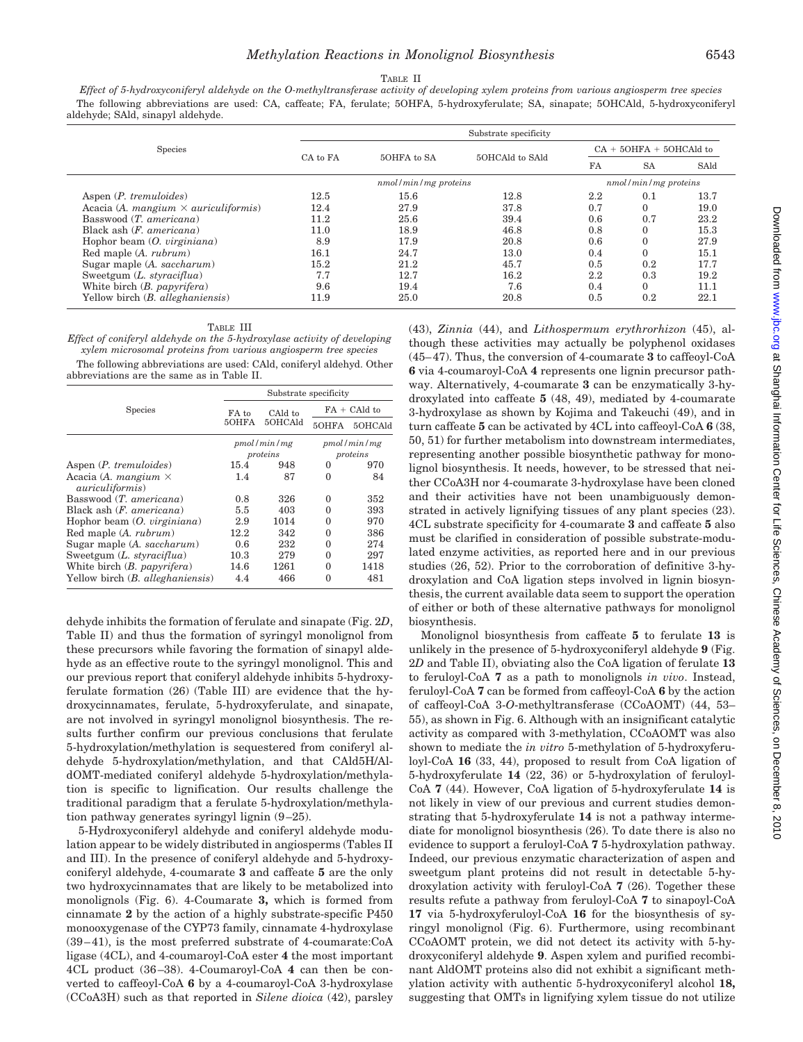#### TABLE II

*Effect of 5-hydroxyconiferyl aldehyde on the O-methyltransferase activity of developing xylem proteins from various angiosperm tree species* The following abbreviations are used: CA, caffeate; FA, ferulate; 5OHFA, 5-hydroxyferulate; SA, sinapate; 5OHCAld, 5-hydroxyconiferyl aldehyde; SAld, sinapyl aldehyde.

|                                                            | Substrate specificity |                      |                 |                           |                        |           |  |  |
|------------------------------------------------------------|-----------------------|----------------------|-----------------|---------------------------|------------------------|-----------|--|--|
| Species                                                    | CA to FA              | 50HFA to SA          | 5OHCAld to SAld | $CA + 5OHFA + 5OHCAld$ to |                        |           |  |  |
|                                                            |                       |                      |                 | FA                        | <b>SA</b>              | SAld      |  |  |
|                                                            |                       | nmol/min/mg proteins |                 |                           | $nmol/min/mg$ proteins |           |  |  |
| Aspen ( <i>P. tremuloides</i> )                            | 12.5                  | 15.6                 | 12.8            | 2.2                       | 0.1                    | $^{13.7}$ |  |  |
| Acacia (A. <i>mangium</i> $\times$ <i>auriculiformis</i> ) | 12.4                  | 27.9                 | 37.8            | 0.7                       |                        | 19.0      |  |  |
| Basswood $(T.$ americana)                                  | 11.2                  | 25.6                 | 39.4            | 0.6                       | 0.7                    | 23.2      |  |  |
| Black ash $(F.$ americana)                                 | 11.0                  | 18.9                 | 46.8            | 0.8                       |                        | 15.3      |  |  |
| Hophor beam $(O. virginiana)$                              | 8.9                   | 17.9                 | 20.8            | 0.6                       |                        | 27.9      |  |  |
| Red maple (A. <i>rubrum</i> )                              | 16.1                  | 24.7                 | 13.0            | 0.4                       |                        | 15.1      |  |  |
| Sugar maple (A. saccharum)                                 | 15.2                  | 21.2                 | 45.7            | 0.5                       | 0.2                    | 17.7      |  |  |
| Sweetgum (L. styraciflua)                                  | 7.7                   | 12.7                 | 16.2            | 2.2                       | 0.3                    | 19.2      |  |  |
| White birch $(B.$ papyrifera)                              | 9.6                   | 19.4                 | 7.6             | 0.4                       |                        | 11.1      |  |  |
| Yellow birch (B. alleghaniensis)                           | 11.9                  | 25.0                 | 20.8            | 0.5                       | 0.2                    | 22.1      |  |  |

#### TABLE III

*Effect of coniferyl aldehyde on the 5-hydroxylase activity of developing xylem microsomal proteins from various angiosperm tree species* The following abbreviations are used: CAld, coniferyl aldehyd. Other

abbreviations are the same as in Table II.

| Species                                                       | Substrate specificity |                    |                 |         |  |
|---------------------------------------------------------------|-----------------------|--------------------|-----------------|---------|--|
|                                                               | FA to<br>50HFA        | CAld to<br>50HCAld | $FA + C Ald to$ |         |  |
|                                                               |                       |                    | 50HFA           | 50HCAld |  |
|                                                               | pmol/min/mg           |                    | pmol/min/mg     |         |  |
|                                                               | proteins              |                    | proteins        |         |  |
| Aspen ( <i>P. tremuloides</i> )                               | 15.4                  | 948                | 0               | 970     |  |
| Acacia (A. <i>mangium</i> $\times$<br><i>auriculiformis</i> ) | 1.4                   | 87                 | 0               | 84      |  |
| Basswood $(T.$ americana)                                     | 0.8                   | 326                | 0               | 352     |  |
| Black ash $(F.$ americana)                                    | 5.5                   | 403                | 0               | 393     |  |
| Hophor beam $(O. virginiana)$                                 | 2.9                   | 1014               | 0               | 970     |  |
| Red maple (A. <i>rubrum</i> )                                 | 12.2                  | 342                | 0               | 386     |  |
| Sugar maple (A. saccharum)                                    | 0.6                   | 232                | 0               | 274     |  |
| Sweetgum $(L. styraciflua)$                                   | 10.3                  | 279                | 0               | 297     |  |
| White birch $(B.$ papyrifera)                                 | 14.6                  | 1261               | 0               | 1418    |  |
| Yellow birch ( <i>B. alleghaniensis</i> )                     | 4.4                   | 466                | 0               | 481     |  |

dehyde inhibits the formation of ferulate and sinapate (Fig. 2*D*, Table II) and thus the formation of syringyl monolignol from these precursors while favoring the formation of sinapyl aldehyde as an effective route to the syringyl monolignol. This and our previous report that coniferyl aldehyde inhibits 5-hydroxyferulate formation (26) (Table III) are evidence that the hydroxycinnamates, ferulate, 5-hydroxyferulate, and sinapate, are not involved in syringyl monolignol biosynthesis. The results further confirm our previous conclusions that ferulate 5-hydroxylation/methylation is sequestered from coniferyl aldehyde 5-hydroxylation/methylation, and that CAld5H/AldOMT-mediated coniferyl aldehyde 5-hydroxylation/methylation is specific to lignification. Our results challenge the traditional paradigm that a ferulate 5-hydroxylation/methylation pathway generates syringyl lignin (9–25).

5-Hydroxyconiferyl aldehyde and coniferyl aldehyde modulation appear to be widely distributed in angiosperms (Tables II and III). In the presence of coniferyl aldehyde and 5-hydroxyconiferyl aldehyde, 4-coumarate **3** and caffeate **5** are the only two hydroxycinnamates that are likely to be metabolized into monolignols (Fig. 6). 4-Coumarate **3,** which is formed from cinnamate **2** by the action of a highly substrate-specific P450 monooxygenase of the CYP73 family, cinnamate 4-hydroxylase (39–41), is the most preferred substrate of 4-coumarate:CoA ligase (4CL), and 4-coumaroyl-CoA ester **4** the most important 4CL product (36–38). 4-Coumaroyl-CoA **4** can then be converted to caffeoyl-CoA **6** by a 4-coumaroyl-CoA 3-hydroxylase (CCoA3H) such as that reported in *Silene dioica* (42), parsley

(43), *Zinnia* (44), and *Lithospermum erythrorhizon* (45), although these activities may actually be polyphenol oxidases (45–47). Thus, the conversion of 4-coumarate **3** to caffeoyl-CoA **6** via 4-coumaroyl-CoA **4** represents one lignin precursor pathway. Alternatively, 4-coumarate **3** can be enzymatically 3-hydroxylated into caffeate **5** (48, 49), mediated by 4-coumarate 3-hydroxylase as shown by Kojima and Takeuchi (49), and in turn caffeate **5** can be activated by 4CL into caffeoyl-CoA **6** (38, 50, 51) for further metabolism into downstream intermediates, representing another possible biosynthetic pathway for monolignol biosynthesis. It needs, however, to be stressed that neither CCoA3H nor 4-coumarate 3-hydroxylase have been cloned and their activities have not been unambiguously demonstrated in actively lignifying tissues of any plant species (23). 4CL substrate specificity for 4-coumarate **3** and caffeate **5** also must be clarified in consideration of possible substrate-modulated enzyme activities, as reported here and in our previous studies (26, 52). Prior to the corroboration of definitive 3-hydroxylation and CoA ligation steps involved in lignin biosynthesis, the current available data seem to support the operation of either or both of these alternative pathways for monolignol biosynthesis.

Monolignol biosynthesis from caffeate **5** to ferulate **13** is unlikely in the presence of 5-hydroxyconiferyl aldehyde **9** (Fig. 2*D* and Table II), obviating also the CoA ligation of ferulate **13** to feruloyl-CoA **7** as a path to monolignols *in vivo*. Instead, feruloyl-CoA **7** can be formed from caffeoyl-CoA **6** by the action of caffeoyl-CoA 3-*O*-methyltransferase (CCoAOMT) (44, 53– 55), as shown in Fig. 6. Although with an insignificant catalytic activity as compared with 3-methylation, CCoAOMT was also shown to mediate the *in vitro* 5-methylation of 5-hydroxyferuloyl-CoA **16** (33, 44), proposed to result from CoA ligation of 5-hydroxyferulate **14** (22, 36) or 5-hydroxylation of feruloyl-CoA **7** (44). However, CoA ligation of 5-hydroxyferulate **14** is not likely in view of our previous and current studies demonstrating that 5-hydroxyferulate **14** is not a pathway intermediate for monolignol biosynthesis (26). To date there is also no evidence to support a feruloyl-CoA **7** 5-hydroxylation pathway. Indeed, our previous enzymatic characterization of aspen and sweetgum plant proteins did not result in detectable 5-hydroxylation activity with feruloyl-CoA **7** (26). Together these results refute a pathway from feruloyl-CoA **7** to sinapoyl-CoA **17** via 5-hydroxyferuloyl-CoA **16** for the biosynthesis of syringyl monolignol (Fig. 6). Furthermore, using recombinant CCoAOMT protein, we did not detect its activity with 5-hydroxyconiferyl aldehyde **9**. Aspen xylem and purified recombinant AldOMT proteins also did not exhibit a significant methylation activity with authentic 5-hydroxyconiferyl alcohol **18,** suggesting that OMTs in lignifying xylem tissue do not utilize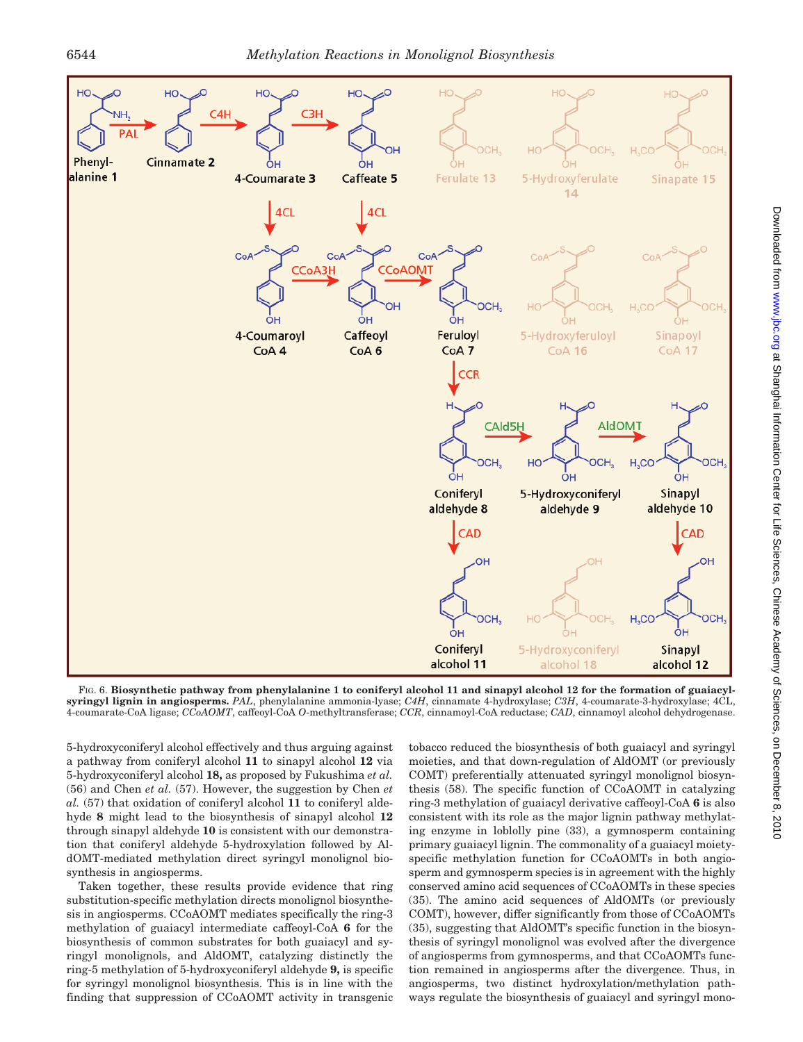

FIG. 6. **Biosynthetic pathway from phenylalanine 1 to coniferyl alcohol 11 and sinapyl alcohol 12 for the formation of guaiacylsyringyl lignin in angiosperms.** *PAL*, phenylalanine ammonia-lyase; *C4H*, cinnamate 4-hydroxylase; *C3H*, 4-coumarate-3-hydroxylase; 4CL, 4-coumarate-CoA ligase; *CCoAOMT*, caffeoyl-CoA *O*-methyltransferase; *CCR*, cinnamoyl-CoA reductase; *CAD*, cinnamoyl alcohol dehydrogenase.

5-hydroxyconiferyl alcohol effectively and thus arguing against a pathway from coniferyl alcohol **11** to sinapyl alcohol **12** via 5-hydroxyconiferyl alcohol **18,** as proposed by Fukushima *et al.* (56) and Chen *et al.* (57). However, the suggestion by Chen *et al.* (57) that oxidation of coniferyl alcohol **11** to coniferyl aldehyde **8** might lead to the biosynthesis of sinapyl alcohol **12** through sinapyl aldehyde **10** is consistent with our demonstration that coniferyl aldehyde 5-hydroxylation followed by AldOMT-mediated methylation direct syringyl monolignol biosynthesis in angiosperms.

Taken together, these results provide evidence that ring substitution-specific methylation directs monolignol biosynthesis in angiosperms. CCoAOMT mediates specifically the ring-3 methylation of guaiacyl intermediate caffeoyl-CoA **6** for the biosynthesis of common substrates for both guaiacyl and syringyl monolignols, and AldOMT, catalyzing distinctly the ring-5 methylation of 5-hydroxyconiferyl aldehyde **9,** is specific for syringyl monolignol biosynthesis. This is in line with the finding that suppression of CCoAOMT activity in transgenic tobacco reduced the biosynthesis of both guaiacyl and syringyl moieties, and that down-regulation of AldOMT (or previously COMT) preferentially attenuated syringyl monolignol biosynthesis (58). The specific function of CCoAOMT in catalyzing ring-3 methylation of guaiacyl derivative caffeoyl-CoA **6** is also consistent with its role as the major lignin pathway methylating enzyme in loblolly pine (33), a gymnosperm containing primary guaiacyl lignin. The commonality of a guaiacyl moietyspecific methylation function for CCoAOMTs in both angiosperm and gymnosperm species is in agreement with the highly conserved amino acid sequences of CCoAOMTs in these species (35). The amino acid sequences of AldOMTs (or previously COMT), however, differ significantly from those of CCoAOMTs (35), suggesting that AldOMT's specific function in the biosynthesis of syringyl monolignol was evolved after the divergence of angiosperms from gymnosperms, and that CCoAOMTs function remained in angiosperms after the divergence. Thus, in angiosperms, two distinct hydroxylation/methylation pathways regulate the biosynthesis of guaiacyl and syringyl mono